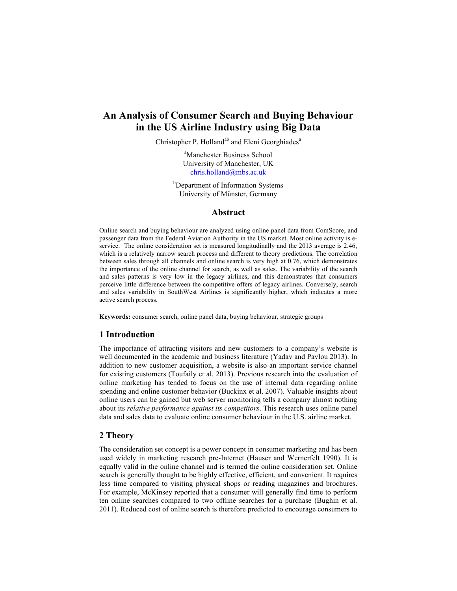# **An Analysis of Consumer Search and Buying Behaviour in the US Airline Industry using Big Data**

Christopher P. Holland<sup>ab</sup> and Eleni Georghiades<sup>a</sup>

a Manchester Business School University of Manchester, UK chris.holland@mbs.ac.uk

<sup>b</sup>Department of Information Systems University of Münster, Germany

#### **Abstract**

Online search and buying behaviour are analyzed using online panel data from ComScore, and passenger data from the Federal Aviation Authority in the US market. Most online activity is eservice. The online consideration set is measured longitudinally and the 2013 average is 2.46, which is a relatively narrow search process and different to theory predictions. The correlation between sales through all channels and online search is very high at 0.76, which demonstrates the importance of the online channel for search, as well as sales. The variability of the search and sales patterns is very low in the legacy airlines, and this demonstrates that consumers perceive little difference between the competitive offers of legacy airlines. Conversely, search and sales variability in SouthWest Airlines is significantly higher, which indicates a more active search process.

**Keywords:** consumer search, online panel data, buying behaviour, strategic groups

## **1 Introduction**

The importance of attracting visitors and new customers to a company's website is well documented in the academic and business literature (Yadav and Pavlou 2013). In addition to new customer acquisition, a website is also an important service channel for existing customers (Toufaily et al. 2013). Previous research into the evaluation of online marketing has tended to focus on the use of internal data regarding online spending and online customer behavior (Buckinx et al. 2007). Valuable insights about online users can be gained but web server monitoring tells a company almost nothing about its *relative performance against its competitors*. This research uses online panel data and sales data to evaluate online consumer behaviour in the U.S. airline market.

## **2 Theory**

The consideration set concept is a power concept in consumer marketing and has been used widely in marketing research pre-Internet (Hauser and Wernerfelt 1990). It is equally valid in the online channel and is termed the online consideration set. Online search is generally thought to be highly effective, efficient, and convenient. It requires less time compared to visiting physical shops or reading magazines and brochures. For example, McKinsey reported that a consumer will generally find time to perform ten online searches compared to two offline searches for a purchase (Bughin et al. 2011). Reduced cost of online search is therefore predicted to encourage consumers to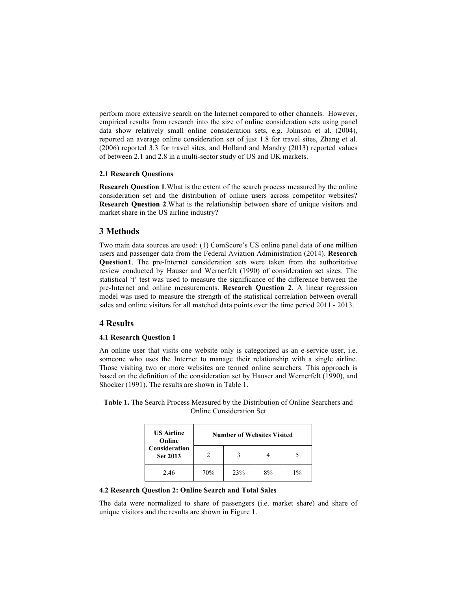perform more extensive search on the Internet compared to other channels. However, empirical results from research into the size of online consideration sets using panel data show relatively small online consideration sets, e.g. Johnson et al. (2004), reported an average online consideration set of just 1.8 for travel sites, Zhang et al. (2006) reported 3.3 for travel sites, and Holland and Mandry (2013) reported values of between 2.1 and 2.8 in a multi-sector study of US and UK markets.

#### **2.1 Research Questions**

**Research Question 1**.What is the extent of the search process measured by the online consideration set and the distribution of online users across competitor websites? **Research Question 2**.What is the relationship between share of unique visitors and market share in the US airline industry?

#### **3 Methods**

Two main data sources are used: (1) ComScore's US online panel data of one million users and passenger data from the Federal Aviation Administration (2014). **Research Question1**. The pre-Internet consideration sets were taken from the authoritative review conducted by Hauser and Wernerfelt (1990) of consideration set sizes. The statistical 't' test was used to measure the significance of the difference between the pre-Internet and online measurements. **Research Question 2**. A linear regression model was used to measure the strength of the statistical correlation between overall sales and online visitors for all matched data points over the time period 2011 - 2013.

#### **4 Results**

## **4.1 Research Question 1**

An online user that visits one website only is categorized as an e-service user, i.e. someone who uses the Internet to manage their relationship with a single airline. Those visiting two or more websites are termed online searchers. This approach is based on the definition of the consideration set by Hauser and Wernerfelt (1990), and Shocker (1991). The results are shown in Table 1.

**Table 1.** The Search Process Measured by the Distribution of Online Searchers and Online Consideration Set

| <b>US Airline</b><br>Online<br><b>Consideration</b><br><b>Set 2013</b> | <b>Number of Websites Visited</b> |     |    |       |  |  |
|------------------------------------------------------------------------|-----------------------------------|-----|----|-------|--|--|
|                                                                        |                                   |     |    |       |  |  |
| 2.46                                                                   | 70%                               | 23% | 8% | $1\%$ |  |  |

#### **4.2 Research Question 2: Online Search and Total Sales**

The data were normalized to share of passengers (i.e. market share) and share of unique visitors and the results are shown in Figure 1.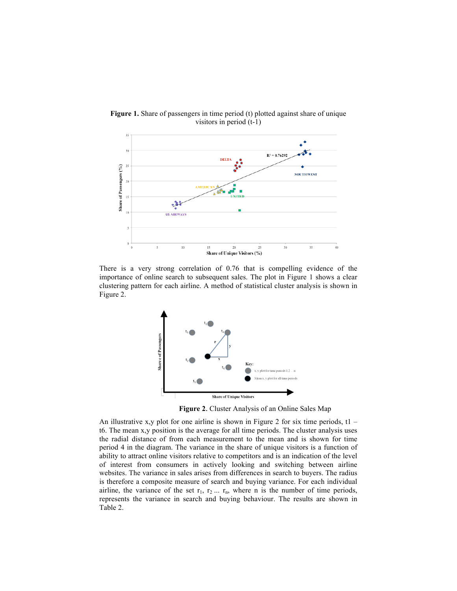

**Figure 1.** Share of passengers in time period (t) plotted against share of unique visitors in period (t-1)

There is a very strong correlation of 0.76 that is compelling evidence of the importance of online search to subsequent sales. The plot in Figure 1 shows a clear clustering pattern for each airline. A method of statistical cluster analysis is shown in Figure 2.



**Figure 2**. Cluster Analysis of an Online Sales Map

An illustrative x,y plot for one airline is shown in Figure 2 for six time periods,  $t1$ t6. The mean x,y position is the average for all time periods. The cluster analysis uses the radial distance of from each measurement to the mean and is shown for time period 4 in the diagram. The variance in the share of unique visitors is a function of ability to attract online visitors relative to competitors and is an indication of the level of interest from consumers in actively looking and switching between airline websites. The variance in sales arises from differences in search to buyers. The radius is therefore a composite measure of search and buying variance. For each individual airline, the variance of the set  $r_1, r_2, \ldots, r_n$ , where n is the number of time periods, represents the variance in search and buying behaviour. The results are shown in Table 2.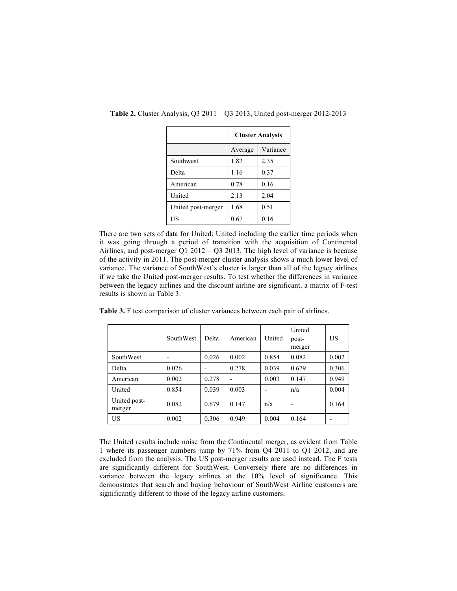|                    | <b>Cluster Analysis</b> |          |  |
|--------------------|-------------------------|----------|--|
|                    | Average                 | Variance |  |
| Southwest          | 1.82                    | 2.35     |  |
| Delta              | 1.16                    | 0.37     |  |
| American           | 0.78                    | 0.16     |  |
| United             | 2.13                    | 2.04     |  |
| United post-merger | 1.68                    | 0.51     |  |
| US                 | 0.67                    | 0.16     |  |

**Table 2.** Cluster Analysis, Q3 2011 – Q3 2013, United post-merger 2012-2013

There are two sets of data for United: United including the earlier time periods when it was going through a period of transition with the acquisition of Continental Airlines, and post-merger Q1 2012 – Q3 2013. The high level of variance is because of the activity in 2011. The post-merger cluster analysis shows a much lower level of variance. The variance of SouthWest's cluster is larger than all of the legacy airlines if we take the United post-merger results. To test whether the differences in variance between the legacy airlines and the discount airline are significant, a matrix of F-test results is shown in Table 3.

**Table 3.** F test comparison of cluster variances between each pair of airlines.

|                        | SouthWest | Delta                        | American       | United | United<br>post-<br>merger | US    |
|------------------------|-----------|------------------------------|----------------|--------|---------------------------|-------|
| SouthWest              |           | 0.026                        | 0.002          | 0.854  | 0.082                     | 0.002 |
| Delta                  | 0.026     | $\qquad \qquad \blacksquare$ | 0.278          | 0.039  | 0.679                     | 0.306 |
| American               | 0.002     | 0.278                        | $\blacksquare$ | 0.003  | 0.147                     | 0.949 |
| United                 | 0.854     | 0.039                        | 0.003          |        | n/a                       | 0.004 |
| United post-<br>merger | 0.082     | 0.679                        | 0.147          | n/a    |                           | 0.164 |
| US                     | 0.002     | 0.306                        | 0.949          | 0.004  | 0.164                     |       |

The United results include noise from the Continental merger, as evident from Table 1 where its passenger numbers jump by 71% from Q4 2011 to Q1 2012, and are excluded from the analysis. The US post-merger results are used instead. The F tests are significantly different for SouthWest. Conversely there are no differences in variance between the legacy airlines at the 10% level of significance. This demonstrates that search and buying behaviour of SouthWest Airline customers are significantly different to those of the legacy airline customers.